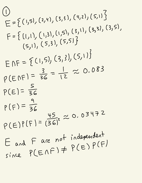$\begin{pmatrix} 1 \end{pmatrix}$  $E = \{ (1, 5), (2, 4),$  $(3,3), (4,2), (5,1)$  $F = \{ (1,1), (1,3),$ (1,5), (3,1), (3,3), (3,5),  $(5,1), (5,3),$ ( 5,51 }  $F = \{ (1, 5), (3, 3) \}$  $(5,1)$  $p(ENF) = \frac{3}{36} =$  $\frac{1}{12} \approx 0.083$  $P(E) = \frac{5}{26}$  $p(F) = \frac{1}{36}$  $P(E)P(F)$  =  $\frac{45}{(36)^2} \approx 0.03472$ E and F are not independent since  $P(E \cap F) \neq P(E) P(F)$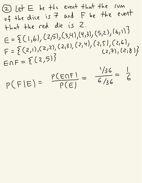② Let E- be the event that the sum  $uf$  the dice is  $7$  and  $F$  be the event that the red die is 2.  $E = \{ (1, 6)$  $(2,5), (3,4), (4,3), (5,2),$  $(6,1)$  $E = \{ (1, b), (2, 2), (2, 3), (2, 4), (2, 5), (2, 6),$ <br> $F = \{ (2, 1), (2, 2), (2, 3), (2, 4), (2, 7), (2, 1), (2, 1), (2, 1), (2, 1), (2, 1), (2, 1), (2, 1), (2, 1), (2, 1), (2, 1), (2, 1), (2, 1), (2, 1), (2, 1), (2, 1), (2, 1), (2, 1), (2, 1), (2, 1), (2, 1), (2, 1), (2, 1), (2, 1), (2, 1),$  $(2,7), (2,8)$  $F = \sum_{i=1}^{n} x_i$ '  $(2,5)$ ' 136  $p(F|E)$  =  $\frac{P(ENF)}{P(F)} = \frac{156}{6/36} =$  $\overline{\mathcal{L}}$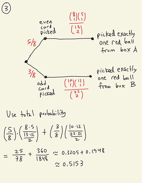

Use total probability  $\left(\frac{5}{8}\right), \left(\frac{8.5}{13.12}\right) + \left(\frac{3}{8}\right)\left(\frac{10.12}{22.21}\right)$  $=\frac{25}{78}+\frac{360}{1848}\approx 0.3205+0.1948$ 

 $20.5153$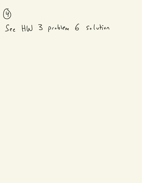$\mathcal{F}$ 

## See HW 3 problem 6 solution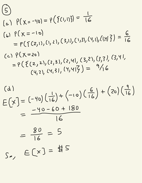(c)

\n
$$
\rho(\chi = -40) = \gamma(\{0, 1, 1\}) = \frac{1}{16}
$$
\n(d)

\n
$$
\rho(\chi = -10) = \rho(\{2, 1\}, (1, 2), (3, 1), (1, 3), (4, 1), (1, 1)\}) = \frac{6}{16}
$$
\n(e)

\n
$$
\rho(\chi = 20) = \rho(\{2, 2\}, (2, 3), (2, 4), (3, 2), (3, 3), (3, 4), (4, 2), (4, 3), (4, 4)\}) = \frac{9}{16}
$$

(c) 
$$
P(X=20)
$$
  
\n
$$
= P(\{2, 2), (2, 3), (2, 4), (3, 2), (3, 3), (3, 4), (4, 3), (4, 3), (4, 4, 5), (4, 4, 5), (4, 4, 5), (4, 4, 5), (4, 4, 5), (4, 4, 5), (4, 5), (4, 5), (4, 5), (4, 5), (4, 5), (4, 5), (4, 5), (4, 5), (4, 5), (4, 5), (4, 5), (4, 5), (4, 5), (4, 5), (4, 5), (4, 5), (4, 5), (4, 5), (4, 5), (4, 5), (4, 5), (4, 5), (4, 5), (4, 5), (4, 5), (4, 5), (4, 5), (4, 5), (4, 5), (4, 5), (4, 5), (4, 5), (4, 5), (4, 5), (4, 5), (4, 5), (4, 5), (4, 5), (4, 5), (4, 5), (4, 5), (4, 5), (4, 5), (4, 5), (4, 5), (4, 5), (4, 5), (4, 5), (4, 5), (4, 5), (4, 5), (4, 5), (4, 5), (4, 5), (4, 5), (4, 5), (4, 5), (4, 5), (4, 5), (4, 5), (4, 5), (4, 5), (4, 5), (4, 5), (4, 5), (4, 5), (4, 5), (4, 5), (4, 5), (4, 5), (4, 5), (4, 5), (4, 5), (4, 5), (4, 5), (4, 5), (4, 5), (4, 5), (4, 5), (4, 5), (4, 5), (4, 5), (4, 5), (4, 5), (4, 5), (4, 5), (4, 5), (4, 5), (4, 5), (4, 5), (4, 5), (4, 5), (4, 5), (4, 5), (4, 5), (4, 5), (4, 5), (4, 5), (4, 5), (4, 5), (4, 5), (4, 5), (4, 5), (4, 5), (4, 5), (4, 5), (4,
$$